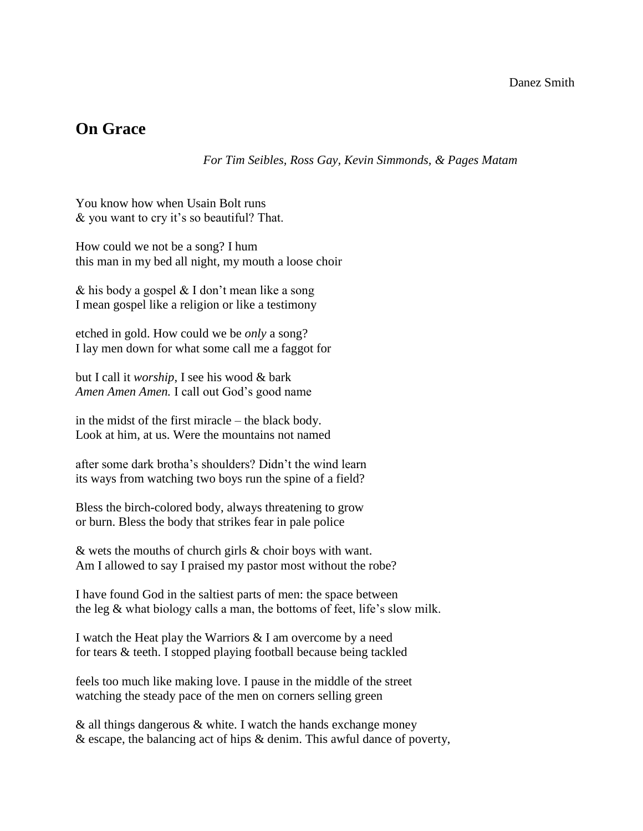## **On Grace**

*For Tim Seibles, Ross Gay, Kevin Simmonds, & Pages Matam*

You know how when Usain Bolt runs & you want to cry it's so beautiful? That.

How could we not be a song? I hum this man in my bed all night, my mouth a loose choir

& his body a gospel & I don't mean like a song I mean gospel like a religion or like a testimony

etched in gold. How could we be *only* a song? I lay men down for what some call me a faggot for

but I call it *worship*, I see his wood & bark *Amen Amen Amen.* I call out God's good name

in the midst of the first miracle – the black body. Look at him, at us. Were the mountains not named

after some dark brotha's shoulders? Didn't the wind learn its ways from watching two boys run the spine of a field?

Bless the birch-colored body, always threatening to grow or burn. Bless the body that strikes fear in pale police

& wets the mouths of church girls & choir boys with want. Am I allowed to say I praised my pastor most without the robe?

I have found God in the saltiest parts of men: the space between the leg & what biology calls a man, the bottoms of feet, life's slow milk.

I watch the Heat play the Warriors & I am overcome by a need for tears & teeth. I stopped playing football because being tackled

feels too much like making love. I pause in the middle of the street watching the steady pace of the men on corners selling green

 $\&$  all things dangerous  $\&$  white. I watch the hands exchange money & escape, the balancing act of hips & denim. This awful dance of poverty,